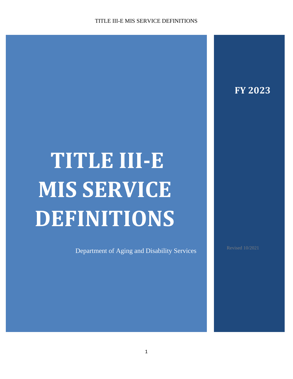**FY 2023**

# **TITLE III-E MIS SERVICE DEFINITIONS**

Department of Aging and Disability Services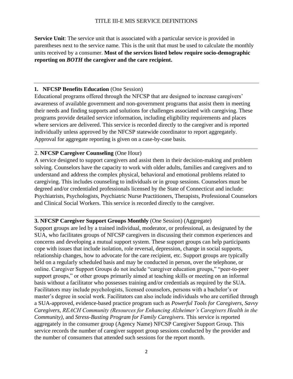## TITLE III-E MIS SERVICE DEFINITIONS

**Service Unit**: The service unit that is associated with a particular service is provided in parentheses next to the service name. This is the unit that must be used to calculate the monthly units received by a consumer. **Most of the services listed below require socio-demographic reporting on** *BOTH* **the caregiver and the care recipient.**

#### **1. NFCSP Benefits Education** (One Session)

Educational programs offered through the NFCSP that are designed to increase caregivers' awareness of available government and non-government programs that assist them in meeting their needs and finding supports and solutions for challenges associated with caregiving. These programs provide detailed service information, including eligibility requirements and places where services are delivered. This service is recorded directly to the caregiver and is reported individually unless approved by the NFCSP statewide coordinator to report aggregately. Approval for aggregate reporting is given on a case-by-case basis.

#### 2. **NFCSP Caregiver Counseling** (One Hour)

A service designed to support caregivers and assist them in their decision-making and problem solving. Counselors have the capacity to work with older adults, families and caregivers and to understand and address the complex physical, behavioral and emotional problems related to caregiving. This includes counseling to individuals or in group sessions. Counselors must be degreed and/or credentialed professionals licensed by the State of Connecticut and include: Psychiatrists, Psychologists, Psychiatric Nurse Practitioners, Therapists, Professional Counselors and Clinical Social Workers. This service is recorded directly to the caregiver.

#### **3. NFCSP Caregiver Support Groups Monthly** (One Session) (Aggregate)

Support groups are led by a trained individual, moderator, or professional, as designated by the SUA, who facilitates groups of NFCSP caregivers in discussing their common experiences and concerns and developing a mutual support system. These support groups can help participants cope with issues that include isolation, role reversal, depression, change in social supports, relationship changes, how to advocate for the care recipient, etc. Support groups are typically held on a regularly scheduled basis and may be conducted in person, over the telephone, or online. Caregiver Support Groups do not include "caregiver education groups," "peer-to-peer support groups," or other groups primarily aimed at teaching skills or meeting on an informal basis without a facilitator who possesses training and/or credentials as required by the SUA. Facilitators may include psychologists, licensed counselors, persons with a bachelor's or master's degree in social work. Facilitators can also include individuals who are certified through a SUA-approved, evidence-based practice program such as *Powerful Tools for Caregivers*, *Savvy Caregivers*, *REACH Community (Resources for Enhancing Alzheimer's Caregivers Health in the Community)*, and *Stress-Busting Program for Family Caregivers*. This service is reported aggregately in the consumer group (Agency Name) NFCSP Caregiver Support Group. This service records the number of caregiver support group sessions conducted by the provider and the number of consumers that attended such sessions for the report month.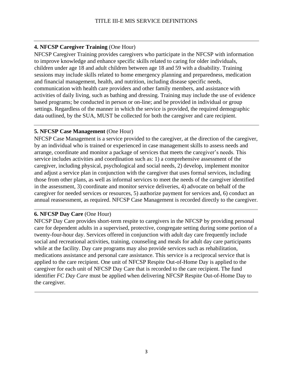# **4. NFCSP Caregiver Training** (One Hour)

NFCSP Caregiver Training provides caregivers who participate in the NFCSP with information to improve knowledge and enhance specific skills related to caring for older individuals, children under age 18 and adult children between age 18 and 59 with a disability. Training sessions may include skills related to home emergency planning and preparedness, medication and financial management, health, and nutrition, including disease specific needs, communication with health care providers and other family members, and assistance with activities of daily living, such as bathing and dressing. Training may include the use of evidence based programs; be conducted in person or on-line; and be provided in individual or group settings. Regardless of the manner in which the service is provided, the required demographic data outlined, by the SUA, MUST be collected for both the caregiver and care recipient.

## **5. NFCSP Case Management** (One Hour)

NFCSP Case Management is a service provided to the caregiver, at the direction of the caregiver, by an individual who is trained or experienced in case management skills to assess needs and arrange, coordinate and monitor a package of services that meets the caregiver's needs. This service includes activities and coordination such as: 1) a comprehensive assessment of the caregiver, including physical, psychological and social needs, 2) develop, implement monitor and adjust a service plan in conjunction with the caregiver that uses formal services, including those from other plans, as well as informal services to meet the needs of the caregiver identified in the assessment, 3) coordinate and monitor service deliveries, 4) advocate on behalf of the caregiver for needed services or resources, 5) authorize payment for services and, 6) conduct an annual reassessment, as required. NFCSP Case Management is recorded directly to the caregiver.

## **6. NFCSP Day Care** (One Hour)

NFCSP Day Care provides short-term respite to caregivers in the NFCSP by providing personal care for dependent adults in a supervised, protective, congregate setting during some portion of a twenty-four-hour day. Services offered in conjunction with adult day care frequently include social and recreational activities, training, counseling and meals for adult day care participants while at the facility. Day care programs may also provide services such as rehabilitation, medications assistance and personal care assistance. This service is a reciprocal service that is applied to the care recipient. One unit of NFCSP Respite Out-of-Home Day is applied to the caregiver for each unit of NFCSP Day Care that is recorded to the care recipient. The fund identifier *FC Day Care* must be applied when delivering NFCSP Respite Out-of-Home Day to the caregiver.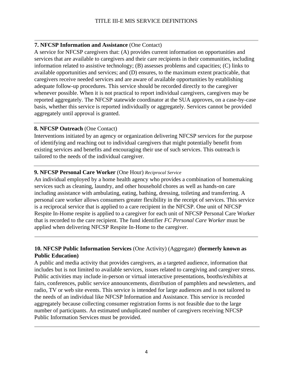## **7. NFCSP Information and Assistance** (One Contact)

A service for NFCSP caregivers that: (A) provides current information on opportunities and services that are available to caregivers and their care recipients in their communities, including information related to assistive technology; (B) assesses problems and capacities; (C) links to available opportunities and services; and (D) ensures, to the maximum extent practicable, that caregivers receive needed services and are aware of available opportunities by establishing adequate follow-up procedures. This service should be recorded directly to the caregiver whenever possible. When it is not practical to report individual caregivers, caregivers may be reported aggregately. The NFCSP statewide coordinator at the SUA approves, on a case-by-case basis, whether this service is reported individually or aggregately. Services cannot be provided aggregately until approval is granted.

# **8. NFCSP Outreach** (One Contact)

Interventions initiated by an agency or organization delivering NFCSP services for the purpose of identifying and reaching out to individual caregivers that might potentially benefit from existing services and benefits and encouraging their use of such services. This outreach is tailored to the needs of the individual caregiver.

# **9. NFCSP Personal Care Worker** (One Hour) *Reciprocal Service*

An individual employed by a home health agency who provides a combination of homemaking services such as cleaning, laundry, and other household chores as well as hands-on care including assistance with ambulating, eating, bathing, dressing, toileting and transferring. A personal care worker allows consumers greater flexibility in the receipt of services. This service is a reciprocal service that is applied to a care recipient in the NFCSP. One unit of NFCSP Respite In-Home respite is applied to a caregiver for each unit of NFCSP Personal Care Worker that is recorded to the care recipient. The fund identifier *FC Personal Care Worker* must be applied when delivering NFCSP Respite In-Home to the caregiver.

# **10. NFCSP Public Information Services** (One Activity) (Aggregate)**(formerly known as Public Education)**

A public and media activity that provides caregivers, as a targeted audience, information that includes but is not limited to available services, issues related to caregiving and caregiver stress. Public activities may include in-person or virtual interactive presentations, booths/exhibits at fairs, conferences, public service announcements, distribution of pamphlets and newsletters, and radio, TV or web site events. This service is intended for large audiences and is not tailored to the needs of an individual like NFCSP Information and Assistance. This service is recorded aggregately because collecting consumer registration forms is not feasible due to the large number of participants. An estimated unduplicated number of caregivers receiving NFCSP Public Information Services must be provided.